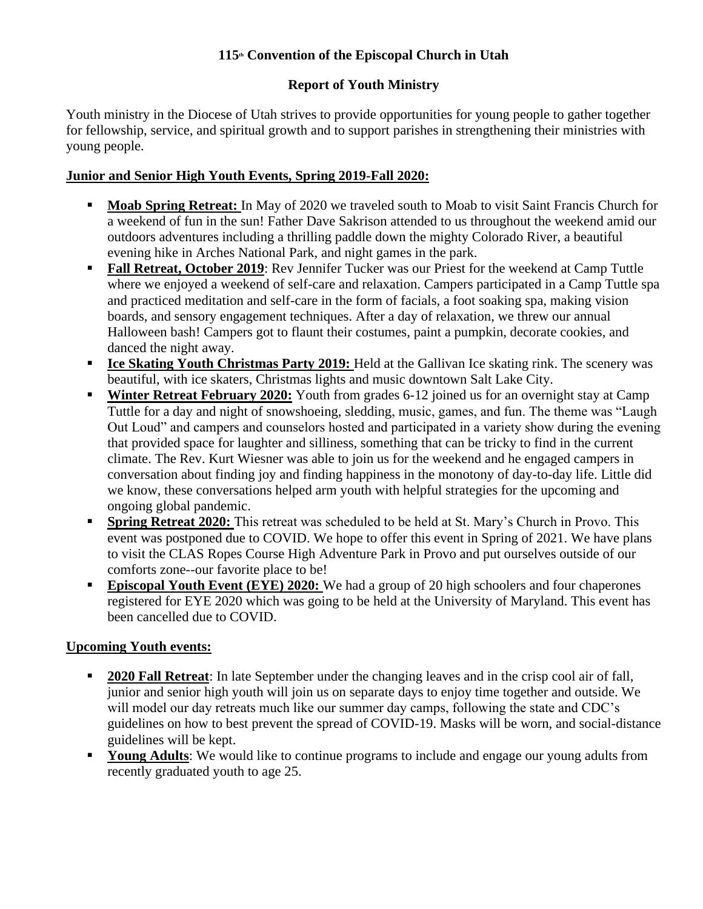# **115th Convention of the Episcopal Church in Utah**

# **Report of Youth Ministry**

Youth ministry in the Diocese of Utah strives to provide opportunities for young people to gather together for fellowship, service, and spiritual growth and to support parishes in strengthening their ministries with young people.

## **Junior and Senior High Youth Events, Spring 2019-Fall 2020:**

- **Moab Spring Retreat:** In May of 2020 we traveled south to Moab to visit Saint Francis Church for a weekend of fun in the sun! Father Dave Sakrison attended to us throughout the weekend amid our outdoors adventures including a thrilling paddle down the mighty Colorado River, a beautiful evening hike in Arches National Park, and night games in the park.
- **Fall Retreat, October 2019**: Rev Jennifer Tucker was our Priest for the weekend at Camp Tuttle where we enjoyed a weekend of self-care and relaxation. Campers participated in a Camp Tuttle spa and practiced meditation and self-care in the form of facials, a foot soaking spa, making vision boards, and sensory engagement techniques. After a day of relaxation, we threw our annual Halloween bash! Campers got to flaunt their costumes, paint a pumpkin, decorate cookies, and danced the night away.
- **Ice Skating Youth Christmas Party 2019:** Held at the Gallivan Ice skating rink. The scenery was beautiful, with ice skaters, Christmas lights and music downtown Salt Lake City.
- **EXECUTE:** Winter Retreat February 2020: Youth from grades 6-12 joined us for an overnight stay at Camp Tuttle for a day and night of snowshoeing, sledding, music, games, and fun. The theme was "Laugh Out Loud" and campers and counselors hosted and participated in a variety show during the evening that provided space for laughter and silliness, something that can be tricky to find in the current climate. The Rev. Kurt Wiesner was able to join us for the weekend and he engaged campers in conversation about finding joy and finding happiness in the monotony of day-to-day life. Little did we know, these conversations helped arm youth with helpful strategies for the upcoming and ongoing global pandemic.
- **Spring Retreat 2020:** This retreat was scheduled to be held at St. Mary's Church in Provo. This event was postponed due to COVID. We hope to offer this event in Spring of 2021. We have plans to visit the CLAS Ropes Course High Adventure Park in Provo and put ourselves outside of our comforts zone--our favorite place to be!
- **Episcopal Youth Event (EYE) 2020:** We had a group of 20 high schoolers and four chaperones registered for EYE 2020 which was going to be held at the University of Maryland. This event has been cancelled due to COVID.

## **Upcoming Youth events:**

- **2020 Fall Retreat**: In late September under the changing leaves and in the crisp cool air of fall, junior and senior high youth will join us on separate days to enjoy time together and outside. We will model our day retreats much like our summer day camps, following the state and CDC's guidelines on how to best prevent the spread of COVID-19. Masks will be worn, and social-distance guidelines will be kept.
- **Young Adults:** We would like to continue programs to include and engage our young adults from recently graduated youth to age 25.